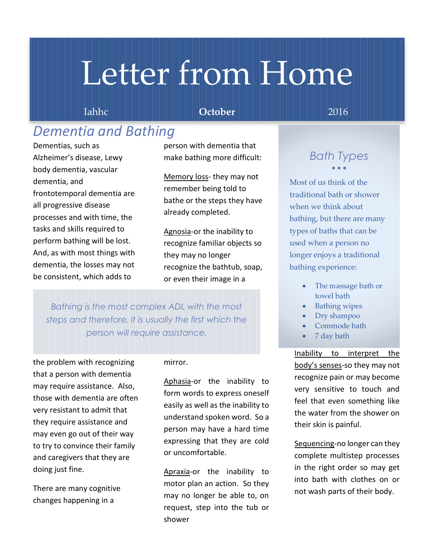# Letter from Home

## Iahhc **October** 2016

## *Dementia and Bathing*

Dementias, such as Alzheimer's disease, Lewy body dementia, vascular dementia, and frontotemporal dementia are all progressive disease processes and with time, the tasks and skills required to perform bathing will be lost. And, as with most things with dementia, the losses may not be consistent, which adds to

person with dementia that make bathing more difficult:

Memory loss- they may not remember being told to bathe or the steps they have already completed.

Agnosia-or the inability to recognize familiar objects so they may no longer recognize the bathtub, soap, or even their image in a

*Bathing is the most complex ADL with the most steps and therefore, it is usually the first which the person will require assistance.* 

the problem with recognizing that a person with dementia may require assistance. Also, those with dementia are often very resistant to admit that they require assistance and may even go out of their way to try to convince their family and caregivers that they are doing just fine.

There are many cognitive changes happening in a

### mirror.

Aphasia-or the inability to form words to express oneself easily as well as the inability to understand spoken word. So a person may have a hard time expressing that they are cold or uncomfortable.

Apraxia-or the inability to motor plan an action. So they may no longer be able to, on request, step into the tub or shower

## *Bath Types*  $\bullet$   $\bullet$   $\bullet$

Most of us think of the traditional bath or shower when we think about bathing, but there are many types of baths that can be used when a person no longer enjoys a traditional bathing experience:

- The massage bath or towel bath
- Bathing wipes
- Dry shampoo
- Commode bath
- 7 day bath

Inability to interpret the body's senses-so they may not recognize pain or may become very sensitive to touch and feel that even something like the water from the shower on their skin is painful.

Sequencing-no longer can they complete multistep processes in the right order so may get into bath with clothes on or not wash parts of their body.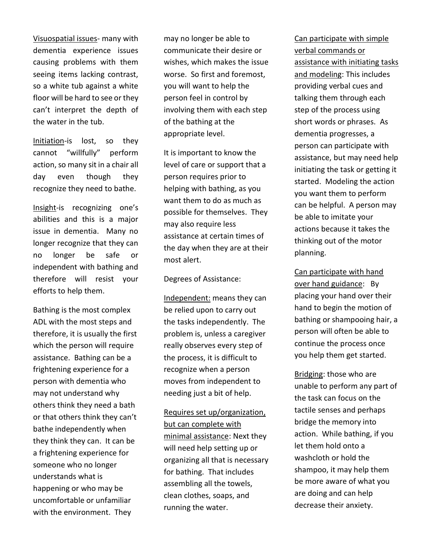Visuospatial issues- many with dementia experience issues causing problems with them seeing items lacking contrast, so a white tub against a white floor will be hard to see or they can't interpret the depth of the water in the tub.

Initiation-is lost, so they cannot "willfully" perform action, so many sit in a chair all day even though they recognize they need to bathe.

Insight-is recognizing one's abilities and this is a major issue in dementia. Many no longer recognize that they can no longer be safe or independent with bathing and therefore will resist your efforts to help them.

Bathing is the most complex ADL with the most steps and therefore, it is usually the first which the person will require assistance. Bathing can be a frightening experience for a person with dementia who may not understand why others think they need a bath or that others think they can't bathe independently when they think they can. It can be a frightening experience for someone who no longer understands what is happening or who may be uncomfortable or unfamiliar with the environment. They

may no longer be able to communicate their desire or wishes, which makes the issue worse. So first and foremost, you will want to help the person feel in control by involving them with each step of the bathing at the appropriate level.

It is important to know the level of care or support that a person requires prior to helping with bathing, as you want them to do as much as possible for themselves. They may also require less assistance at certain times of the day when they are at their most alert.

Degrees of Assistance:

Independent: means they can be relied upon to carry out the tasks independently. The problem is, unless a caregiver really observes every step of the process, it is difficult to recognize when a person moves from independent to needing just a bit of help.

Requires set up/organization, but can complete with minimal assistance: Next they will need help setting up or organizing all that is necessary for bathing. That includes assembling all the towels, clean clothes, soaps, and running the water.

Can participate with simple verbal commands or assistance with initiating tasks and modeling: This includes providing verbal cues and talking them through each step of the process using short words or phrases. As dementia progresses, a person can participate with assistance, but may need help initiating the task or getting it started. Modeling the action you want them to perform can be helpful. A person may be able to imitate your actions because it takes the thinking out of the motor planning.

Can participate with hand over hand guidance: By placing your hand over their hand to begin the motion of bathing or shampooing hair, a person will often be able to continue the process once you help them get started.

Bridging: those who are unable to perform any part of the task can focus on the tactile senses and perhaps bridge the memory into action. While bathing, if you let them hold onto a washcloth or hold the shampoo, it may help them be more aware of what you are doing and can help decrease their anxiety.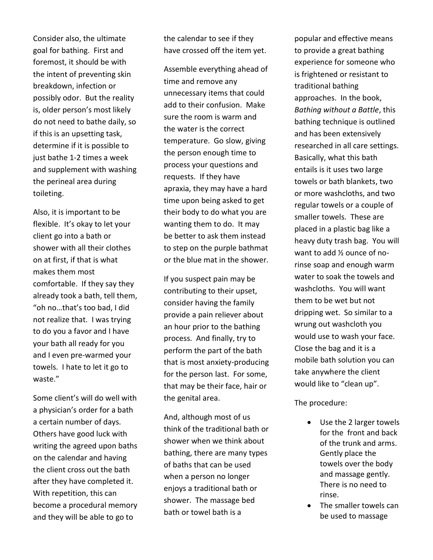Consider also, the ultimate goal for bathing. First and foremost, it should be with the intent of preventing skin breakdown, infection or possibly odor. But the reality is, older person's most likely do not need to bathe daily, so if this is an upsetting task, determine if it is possible to just bathe 1-2 times a week and supplement with washing the perineal area during toileting.

Also, it is important to be flexible. It's okay to let your client go into a bath or shower with all their clothes on at first, if that is what makes them most comfortable. If they say they already took a bath, tell them, "oh no…that's too bad, I did not realize that. I was trying to do you a favor and I have your bath all ready for you and I even pre-warmed your towels. I hate to let it go to waste."

Some client's will do well with a physician's order for a bath a certain number of days. Others have good luck with writing the agreed upon baths on the calendar and having the client cross out the bath after they have completed it. With repetition, this can become a procedural memory and they will be able to go to

the calendar to see if they have crossed off the item yet.

Assemble everything ahead of time and remove any unnecessary items that could add to their confusion. Make sure the room is warm and the water is the correct temperature. Go slow, giving the person enough time to process your questions and requests. If they have apraxia, they may have a hard time upon being asked to get their body to do what you are wanting them to do. It may be better to ask them instead to step on the purple bathmat or the blue mat in the shower.

If you suspect pain may be contributing to their upset, consider having the family provide a pain reliever about an hour prior to the bathing process. And finally, try to perform the part of the bath that is most anxiety-producing for the person last. For some, that may be their face, hair or the genital area.

And, although most of us think of the traditional bath or shower when we think about bathing, there are many types of baths that can be used when a person no longer enjoys a traditional bath or shower. The massage bed bath or towel bath is a

popular and effective means to provide a great bathing experience for someone who is frightened or resistant to traditional bathing approaches. In the book, *Bathing without a Battle*, this bathing technique is outlined and has been extensively researched in all care settings. Basically, what this bath entails is it uses two large towels or bath blankets, two or more washcloths, and two regular towels or a couple of smaller towels. These are placed in a plastic bag like a heavy duty trash bag. You will want to add ½ ounce of norinse soap and enough warm water to soak the towels and washcloths. You will want them to be wet but not dripping wet. So similar to a wrung out washcloth you would use to wash your face. Close the bag and it is a mobile bath solution you can take anywhere the client would like to "clean up".

#### The procedure:

- Use the 2 larger towels for the front and back of the trunk and arms. Gently place the towels over the body and massage gently. There is no need to rinse.
- The smaller towels can be used to massage